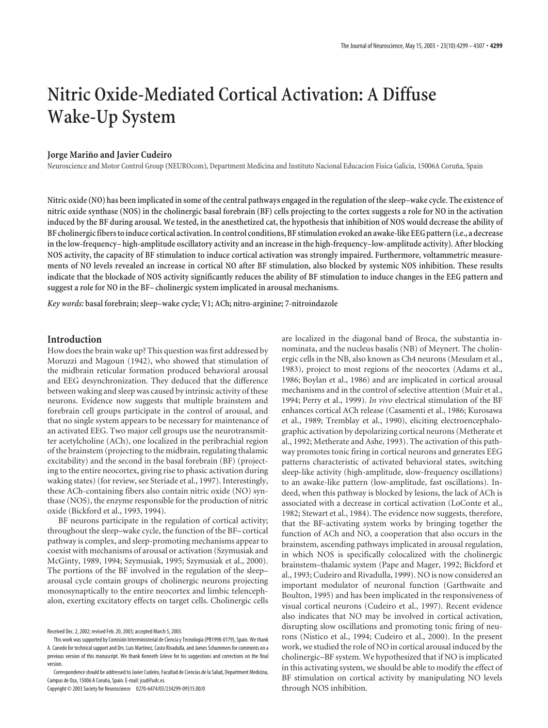# **Nitric Oxide-Mediated Cortical Activation: A Diffuse Wake-Up System**

## **Jorge Mariño and Javier Cudeiro**

Neuroscience and Motor Control Group (NEUROcom), Department Medicina and Instituto Nacional Educacion Fisica Galicia, 15006A Coruña, Spain

**Nitric oxide (NO) has been implicated in some of the central pathways engaged in the regulation of the sleep–wake cycle. The existence of nitric oxide synthase (NOS) in the cholinergic basal forebrain (BF) cells projecting to the cortex suggests a role for NO in the activation induced by the BF during arousal. We tested, in the anesthetized cat, the hypothesis that inhibition of NOS would decrease the ability of BF cholinergic fibers to induce cortical activation. In control conditions, BF stimulation evoked an awake-like EEG pattern (i.e., a decrease in the low-frequency– high-amplitude oscillatory activity and an increase in the high-frequency–low-amplitude activity). After blocking NOS activity, the capacity of BF stimulation to induce cortical activation was strongly impaired. Furthermore, voltammetric measurements of NO levels revealed an increase in cortical NO after BF stimulation, also blocked by systemic NOS inhibition. These results indicate that the blockade of NOS activity significantly reduces the ability of BF stimulation to induce changes in the EEG pattern and suggest a role for NO in the BF– cholinergic system implicated in arousal mechanisms.**

*Key words:* **basal forebrain; sleep–wake cycle; V1; ACh; nitro-arginine; 7-nitroindazole**

# **Introduction**

How does the brain wake up? This question was first addressed by Moruzzi and Magoun (1942), who showed that stimulation of the midbrain reticular formation produced behavioral arousal and EEG desynchronization. They deduced that the difference between waking and sleep was caused by intrinsic activity of these neurons. Evidence now suggests that multiple brainstem and forebrain cell groups participate in the control of arousal, and that no single system appears to be necessary for maintenance of an activated EEG. Two major cell groups use the neurotransmitter acetylcholine (ACh), one localized in the peribrachial region of the brainstem (projecting to the midbrain, regulating thalamic excitability) and the second in the basal forebrain (BF) (projecting to the entire neocortex, giving rise to phasic activation during waking states) (for review, see Steriade et al., 1997). Interestingly, these ACh-containing fibers also contain nitric oxide (NO) synthase (NOS), the enzyme responsible for the production of nitric oxide (Bickford et al., 1993, 1994).

BF neurons participate in the regulation of cortical activity; throughout the sleep–wake cycle, the function of the BF– cortical pathway is complex, and sleep-promoting mechanisms appear to coexist with mechanisms of arousal or activation (Szymusiak and McGinty, 1989, 1994; Szymusiak, 1995; Szymusiak et al., 2000). The portions of the BF involved in the regulation of the sleep– arousal cycle contain groups of cholinergic neurons projecting monosynaptically to the entire neocortex and limbic telencephalon, exerting excitatory effects on target cells. Cholinergic cells

Copyright © 2003 Society for Neuroscience 0270-6474/03/234299-09\$15.00/0

are localized in the diagonal band of Broca, the substantia innominata, and the nucleus basalis (NB) of Meynert. The cholinergic cells in the NB, also known as Ch4 neurons (Mesulam et al., 1983), project to most regions of the neocortex (Adams et al., 1986; Boylan et al., 1986) and are implicated in cortical arousal mechanisms and in the control of selective attention (Muir et al., 1994; Perry et al., 1999). *In vivo* electrical stimulation of the BF enhances cortical ACh release (Casamenti et al., 1986; Kurosawa et al., 1989; Tremblay et al., 1990), eliciting electroencephalographic activation by depolarizing cortical neurons (Metherate et al., 1992; Metherate and Ashe, 1993). The activation of this pathway promotes tonic firing in cortical neurons and generates EEG patterns characteristic of activated behavioral states, switching sleep-like activity (high-amplitude, slow-frequency oscillations) to an awake-like pattern (low-amplitude, fast oscillations). Indeed, when this pathway is blocked by lesions, the lack of ACh is associated with a decrease in cortical activation (LoConte et al., 1982; Stewart et al., 1984). The evidence now suggests, therefore, that the BF-activating system works by bringing together the function of ACh and NO, a cooperation that also occurs in the brainstem, ascending pathways implicated in arousal regulation, in which NOS is specifically colocalized with the cholinergic brainstem–thalamic system (Pape and Mager, 1992; Bickford et al., 1993; Cudeiro and Rivadulla, 1999). NO is now considered an important modulator of neuronal function (Garthwaite and Boulton, 1995) and has been implicated in the responsiveness of visual cortical neurons (Cudeiro et al., 1997). Recent evidence also indicates that NO may be involved in cortical activation, disrupting slow oscillations and promoting tonic firing of neurons (Nistico et al., 1994; Cudeiro et al., 2000). In the present work, we studied the role of NO in cortical arousal induced by the cholinergic–BF system. We hypothesized that if NO is implicated in this activating system, we should be able to modify the effect of BF stimulation on cortical activity by manipulating NO levels through NOS inhibition.

Received Dec. 2, 2002; revised Feb. 20, 2003; accepted March 5, 2003.

This work was supported by Comisión Interministerial de Ciencia y Tecnología (PB1998-0179), Spain. We thank A. Canedo for technical support and Drs. Luis Martínez, Casto Rivadulla, and James Schummers for comments on a previous version of this manuscript. We thank Kenneth Grieve for his suggestions and corrections on the final version.

Correspondence should be addressed to Javier Cudeiro, Facultad de Ciencias de la Salud, Department Medicina, Campus de Oza, 15006 A Coruña, Spain. E-mail: jcud@udc.es.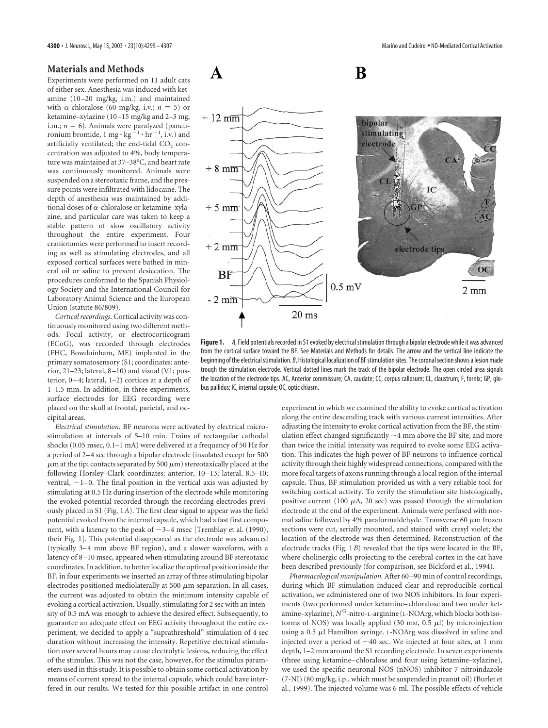# **Materials and Methods**

Experiments were performed on 11 adult cats of either sex. Anesthesia was induced with ketamine (10–20 mg/kg, i.m.) and maintained with  $\alpha$ -chloralose (60 mg/kg, i.v.;  $n = 5$ ) or ketamine–xylazine (10–15 mg/kg and 2–3 mg, i.m.;  $n = 6$ ). Animals were paralyzed (pancuronium bromide,  $1 \text{ mg} \cdot \text{kg}^{-1} \cdot \text{hr}^{-1}$ , i.v.) and artificially ventilated; the end-tidal  $CO<sub>2</sub>$  concentration was adjusted to 4%, body temperature was maintained at 37–38°C, and heart rate was continuously monitored. Animals were suspended on a stereotaxic frame, and the pressure points were infiltrated with lidocaine. The depth of anesthesia was maintained by additional doses of  $\alpha$ -chloralose or ketamine–xylazine, and particular care was taken to keep a stable pattern of slow oscillatory activity throughout the entire experiment. Four craniotomies were performed to insert recording as well as stimulating electrodes, and all exposed cortical surfaces were bathed in mineral oil or saline to prevent desiccation. The procedures conformed to the Spanish Physiology Society and the International Council for Laboratory Animal Science and the European Union (statute 86/809).

*Cortical recordings.*Cortical activity was continuously monitored using two different methods. Focal activity, or electrocorticogram (ECoG), was recorded through electrodes (FHC, Bowdoinham, ME) implanted in the primary somatosensory (S1; coordinates: anterior, 21–23; lateral, 8–10) and visual (V1; posterior, 0–4; lateral, 1–2) cortices at a depth of 1–1.5 mm. In addition, in three experiments, surface electrodes for EEG recording were placed on the skull at frontal, parietal, and occipital areas.

*Electrical stimulation.* BF neurons were activated by electrical microstimulation at intervals of 5–10 min. Trains of rectangular cathodal shocks (0.05 msec, 0.1–1 mA) were delivered at a frequency of 50 Hz for a period of 2–4 sec through a bipolar electrode (insulated except for 500  $\mu$ m at the tip; contacts separated by 500  $\mu$ m) stereotaxically placed at the following Horsley–Clark coordinates: anterior, 10–13; lateral, 8.5–10; ventral,  $-1-0$ . The final position in the vertical axis was adjusted by stimulating at 0.5 Hz during insertion of the electrode while monitoring the evoked potential recorded through the recording electrodes previously placed in S1 (Fig. 1*A*). The first clear signal to appear was the field potential evoked from the internal capsule, which had a fast first component, with a latency to the peak of  $\sim$ 3–4 msec [Tremblay et al. (1990), their Fig. 1]. This potential disappeared as the electrode was advanced (typically 3–4 mm above BF region), and a slower waveform, with a latency of 8–10 msec, appeared when stimulating around BF stereotaxic coordinates. In addition, to better localize the optimal position inside the BF, in four experiments we inserted an array of three stimulating bipolar electrodes positioned mediolaterally at 500  $\mu$ m separation. In all cases, the current was adjusted to obtain the minimum intensity capable of evoking a cortical activation. Usually, stimulating for 2 sec with an intensity of 0.5 mA was enough to achieve the desired effect. Subsequently, to guarantee an adequate effect on EEG activity throughout the entire experiment, we decided to apply a "suprathreshold" stimulation of 4 sec duration without increasing the intensity. Repetitive electrical stimulation over several hours may cause electrolytic lesions, reducing the effect of the stimulus. This was not the case, however, for the stimulus parameters used in this study. It is possible to obtain some cortical activation by means of current spread to the internal capsule, which could have interfered in our results. We tested for this possible artifact in one control



**Figure 1.** *A*, Field potentials recorded in S1 evoked by electrical stimulation through a bipolar electrode while it was advanced from the cortical surface toward the BF. See Materials and Methods for details. The arrow and the vertical line indicate the beginning of the electrical stimulation. *B*, Histological localization of BF stimulation sites. The coronal section shows a lesion made trough the stimulation electrode. Vertical dotted lines mark the track of the bipolar electrode. The open circled area signals the location of the electrode tips. AC, Anterior commissure; CA, caudate; CC, corpus callosum; CL, claustrum; F, fornix; GP, globus pallidus; IC, internal capsule; OC, optic chiasm.

experiment in which we examined the ability to evoke cortical activation along the entire descending track with various current intensities. After adjusting the intensity to evoke cortical activation from the BF, the stimulation effect changed significantly  $\sim$ 4 mm above the BF site, and more than twice the initial intensity was required to evoke some EEG activation. This indicates the high power of BF neurons to influence cortical activity through their highly widespread connections, compared with the more focal targets of axons running through a local region of the internal capsule. Thus, BF stimulation provided us with a very reliable tool for switching cortical activity. To verify the stimulation site histologically, positive current (100  $\mu$ A, 20 sec) was passed through the stimulation electrode at the end of the experiment. Animals were perfused with normal saline followed by 4% paraformaldehyde. Transverse 60  $\mu$ m frozen sections were cut, serially mounted, and stained with cresyl violet; the location of the electrode was then determined. Reconstruction of the electrode tracks (Fig. 1*B*) revealed that the tips were located in the BF, where cholinergic cells projecting to the cerebral cortex in the cat have been described previously (for comparison, see Bickford et al., 1994).

*Pharmacological manipulation.* After 60–90 min of control recordings, during which BF stimulation induced clear and reproducible cortical activation, we administered one of two NOS inhibitors. In four experiments (two performed under ketamine–chloralose and two under ketamine–xylazine),  $N^{\mathrm{G}}$ -nitro-L-arginine (L-NOArg, which blocks both isoforms of NOS) was locally applied (30 mm, 0.5  $\mu$ l) by microinjection using a 0.5 µl Hamilton syringe. L-NOArg was dissolved in saline and injected over a period of  $\sim$ 40 sec. We injected at four sites, at 1 mm depth, 1–2 mm around the S1 recording electrode. In seven experiments (three using ketamine–chloralose and four using ketamine–xylazine), we used the specific neuronal NOS (nNOS) inhibitor 7-nitroindazole (7-NI) (80 mg/kg, i.p., which must be suspended in peanut oil) (Burlet et al., 1999). The injected volume was 6 ml. The possible effects of vehicle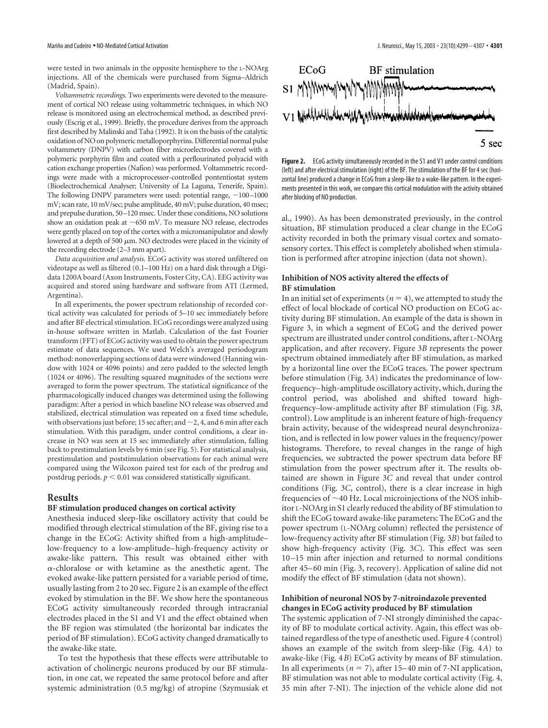were tested in two animals in the opposite hemisphere to the L-NOArg injections. All of the chemicals were purchased from Sigma–Aldrich (Madrid, Spain).

*Voltammetric recordings.* Two experiments were devoted to the measurement of cortical NO release using voltammetric techniques, in which NO release is monitored using an electrochemical method, as described previously (Escrig et al., 1999). Briefly, the procedure derives from the approach first described by Malinski and Taha (1992). It is on the basis of the catalytic oxidation of NO on polymeric metalloporphyrins. Differential normal pulse voltammetry (DNPV) with carbon fiber microelectrodes covered with a polymeric porphyrin film and coated with a perflourinated polyacid with cation exchange properties (Nafion) was performed. Voltammetric recordings were made with a microprocessor-controlled pontentiostat system (Bioelectrochemical Analyser; University of La Laguna, Tenerife, Spain). The following DNPV parameters were used: potential range, -100-1000 mV; scan rate, 10 mV/sec; pulse amplitude, 40 mV; pulse duration, 40 msec; and prepulse duration, 50–120 msec. Under these conditions, NO solutions show an oxidation peak at  $\sim$  650 mV. To measure NO release, electrodes were gently placed on top of the cortex with a micromanipulator and slowly lowered at a depth of 500  $\mu$ m. NO electrodes were placed in the vicinity of the recording electrode (2–3 mm apart).

*Data acquisition and analysis.* ECoG activity was stored unfiltered on videotape as well as filtered (0.1–100 Hz) on a hard disk through a Digidata 1200A board (Axon Instruments, Foster City, CA). EEG activity was acquired and stored using hardware and software from ATI (Lermed, Argentina).

In all experiments, the power spectrum relationship of recorded cortical activity was calculated for periods of 5–10 sec immediately before and after BF electrical stimulation. ECoG recordings were analyzed using in-house software written in Matlab. Calculation of the fast Fourier transform (FFT) of ECoG activity was used to obtain the power spectrum estimate of data sequences. We used Welch's averaged periodogram method: nonoverlapping sections of data were windowed (Hanning window with 1024 or 4096 points) and zero padded to the selected length (1024 or 4096). The resulting squared magnitudes of the sections were averaged to form the power spectrum. The statistical significance of the pharmacologically induced changes was determined using the following paradigm: After a period in which baseline NO release was observed and stabilized, electrical stimulation was repeated on a fixed time schedule, with observations just before; 15 sec after; and  $\sim$  2, 4, and 6 min after each stimulation. With this paradigm, under control conditions, a clear increase in NO was seen at 15 sec immediately after stimulation, falling back to prestimulation levels by 6 min (see Fig. 5). For statistical analysis, prestimulation and poststimulation observations for each animal were compared using the Wilcoxon paired test for each of the predrug and postdrug periods.  $p < 0.01$  was considered statistically significant.

## **Results**

#### **BF stimulation produced changes on cortical activity**

Anesthesia induced sleep-like oscillatory activity that could be modified through electrical stimulation of the BF, giving rise to a change in the ECoG: Activity shifted from a high-amplitude– low-frequency to a low-amplitude–high-frequency activity or awake-like pattern. This result was obtained either with  $\alpha$ -chloralose or with ketamine as the anesthetic agent. The evoked awake-like pattern persisted for a variable period of time, usually lasting from 2 to 20 sec. Figure 2 is an example of the effect evoked by stimulation in the BF. We show here the spontaneous ECoG activity simultaneously recorded through intracranial electrodes placed in the S1 and V1 and the effect obtained when the BF region was stimulated (the horizontal bar indicates the period of BF stimulation). ECoG activity changed dramatically to the awake-like state.

To test the hypothesis that these effects were attributable to activation of cholinergic neurons produced by our BF stimulation, in one cat, we repeated the same protocol before and after systemic administration (0.5 mg/kg) of atropine (Szymusiak et



**Figure 2.** ECoG activity simultaneously recorded in the S1 and V1 under control conditions (left) and after electrical stimulation (right) of the BF. The stimulation of the BF for 4 sec (horizontal line) produced a change in ECoG from a sleep-like to a wake-like pattern. In the experiments presented in this work, we compare this cortical modulation with the activity obtained after blocking of NO production.

al., 1990). As has been demonstrated previously, in the control situation, BF stimulation produced a clear change in the ECoG activity recorded in both the primary visual cortex and somatosensory cortex. This effect is completely abolished when stimulation is performed after atropine injection (data not shown).

## **Inhibition of NOS activity altered the effects of BF stimulation**

In an initial set of experiments ( $n = 4$ ), we attempted to study the effect of local blockade of cortical NO production on ECoG activity during BF stimulation. An example of the data is shown in Figure 3, in which a segment of ECoG and the derived power spectrum are illustrated under control conditions, after L-NOArg application, and after recovery. Figure 3*B* represents the power spectrum obtained immediately after BF stimulation, as marked by a horizontal line over the ECoG traces. The power spectrum before stimulation (Fig. 3*A*) indicates the predominance of lowfrequency–high-amplitude oscillatory activity, which, during the control period, was abolished and shifted toward highfrequency–low-amplitude activity after BF stimulation (Fig. 3*B*, control). Low amplitude is an inherent feature of high-frequency brain activity, because of the widespread neural desynchronization, and is reflected in low power values in the frequency/power histograms. Therefore, to reveal changes in the range of high frequencies, we subtracted the power spectrum data before BF stimulation from the power spectrum after it. The results obtained are shown in Figure 3*C* and reveal that under control conditions (Fig. 3*C*, control), there is a clear increase in high frequencies of  $\sim$  40 Hz. Local microinjections of the NOS inhibitor L-NOArg in S1 clearly reduced the ability of BF stimulation to shift the ECoG toward awake-like parameters: The ECoG and the power spectrum (L-NOArg column) reflected the persistence of low-frequency activity after BF stimulation (Fig. 3*B*) but failed to show high-frequency activity (Fig. 3*C*). This effect was seen 10–15 min after injection and returned to normal conditions after 45–60 min (Fig. 3, recovery). Application of saline did not modify the effect of BF stimulation (data not shown).

## **Inhibition of neuronal NOS by 7-nitroindazole prevented changes in ECoG activity produced by BF stimulation**

The systemic application of 7-NI strongly diminished the capacity of BF to modulate cortical activity. Again, this effect was obtained regardless of the type of anesthetic used. Figure 4 (control) shows an example of the switch from sleep-like (Fig. 4*A*) to awake-like (Fig. 4*B*) ECoG activity by means of BF stimulation. In all experiments ( $n = 7$ ), after 15–40 min of 7-NI application, BF stimulation was not able to modulate cortical activity (Fig. 4, 35 min after 7-NI). The injection of the vehicle alone did not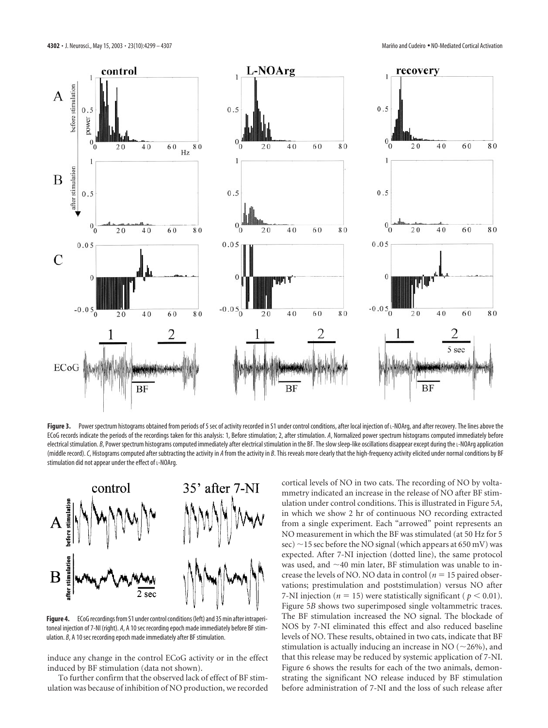

Figure 3. Power spectrum histograms obtained from periods of 5 sec of activity recorded in S1 under control conditions, after local injection of L-NOArg, and after recovery. The lines above the ECoG records indicate the periods of the recordings taken for this analysis: 1, Before stimulation; 2, after stimulation. *A*, Normalized power spectrum histograms computed immediately before electrical stimulation. *B*, Power spectrum histograms computed immediately after electrical stimulation in the BF. The slow sleep-like oscillations disappear except during the L-NOArg application (middle record).*C*, Histograms computed after subtracting the activity in *A* from the activity in *B*. This reveals more clearly that the high-frequency activity elicited under normal conditions by BF stimulation did not appear under the effect of L-NOArg.



**Figure 4.** ECoG recordings from S1 under control conditions (left) and 35 min after intraperitoneal injection of 7-NI (right). *A*, A 10 sec recording epoch made immediately before BF stimulation. *B*, A 10 sec recording epoch made immediately after BF stimulation.

induce any change in the control ECoG activity or in the effect induced by BF stimulation (data not shown).

To further confirm that the observed lack of effect of BF stimulation was because of inhibition of NO production, we recorded cortical levels of NO in two cats. The recording of NO by voltammetry indicated an increase in the release of NO after BF stimulation under control conditions. This is illustrated in Figure 5*A*, in which we show 2 hr of continuous NO recording extracted from a single experiment. Each "arrowed" point represents an NO measurement in which the BF was stimulated (at 50 Hz for 5 sec)  $\sim$  15 sec before the NO signal (which appears at 650 mV) was expected. After 7-NI injection (dotted line), the same protocol was used, and  $\sim$  40 min later, BF stimulation was unable to increase the levels of NO. NO data in control ( $n = 15$  paired observations; prestimulation and poststimulation) versus NO after 7-NI injection ( $n = 15$ ) were statistically significant ( $p < 0.01$ ). Figure 5*B* shows two superimposed single voltammetric traces. The BF stimulation increased the NO signal. The blockade of NOS by 7-NI eliminated this effect and also reduced baseline levels of NO. These results, obtained in two cats, indicate that BF stimulation is actually inducing an increase in NO ( $\sim$ 26%), and that this release may be reduced by systemic application of 7-NI. Figure 6 shows the results for each of the two animals, demonstrating the significant NO release induced by BF stimulation before administration of 7-NI and the loss of such release after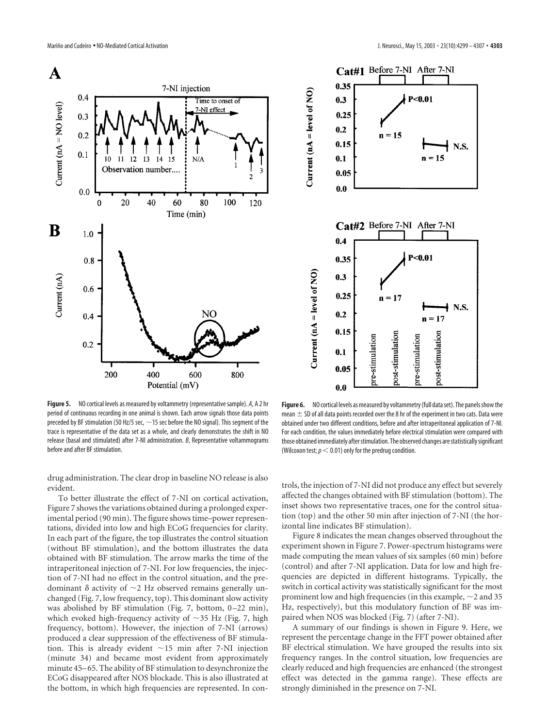

Mariño and Cudeiro • NO-Mediated Cortical Activation **J. Neurosci., May 15, 2003 • 23(10):4299** - 4307 **• 4303** 



**Figure 5.** NO cortical levels as measured by voltammetry (representative sample). *A*, A 2 hr period of continuous recording in one animal is shown. Each arrow signals those data points preceded by BF stimulation (50 Hz/5 sec,  $\sim$  15 sec before the NO signal). This segment of the trace is representative of the data set as a whole, and clearly demonstrates the shift in NO release (basal and stimulated) after 7-NI administration. *B*, Representative voltammograms before and after BF stimulation.

drug administration. The clear drop in baseline NO release is also evident.

To better illustrate the effect of 7-NI on cortical activation, Figure 7 shows the variations obtained during a prolonged experimental period (90 min). The figure shows time–power representations, divided into low and high ECoG frequencies for clarity. In each part of the figure, the top illustrates the control situation (without BF stimulation), and the bottom illustrates the data obtained with BF stimulation. The arrow marks the time of the intraperitoneal injection of 7-NI. For low frequencies, the injection of 7-NI had no effect in the control situation, and the predominant  $\delta$  activity of  $\sim$ 2 Hz observed remains generally unchanged (Fig. 7, low frequency, top). This dominant slow activity was abolished by BF stimulation (Fig. 7, bottom, 0–22 min), which evoked high-frequency activity of  $\sim$ 35 Hz (Fig. 7, high frequency, bottom). However, the injection of 7-NI (arrows) produced a clear suppression of the effectiveness of BF stimulation. This is already evident  $\sim$ 15 min after 7-NI injection (minute 34) and became most evident from approximately minute 45–65. The ability of BF stimulation to desynchronize the ECoG disappeared after NOS blockade. This is also illustrated at the bottom, in which high frequencies are represented. In con-

Figure 6. NO cortical levels as measured by voltammetry (full data set). The panels show the mean  $\pm$  SD of all data points recorded over the 8 hr of the experiment in two cats. Data were obtained under two different conditions, before and after intraperitoneal application of 7-NI. For each condition, the values immediately before electrical stimulation were compared with those obtained immediately after stimulation. The observed changes are statistically significant (Wilcoxon test;  $p < 0.01$ ) only for the predrug condition.

trols, the injection of 7-NI did not produce any effect but severely affected the changes obtained with BF stimulation (bottom). The inset shows two representative traces, one for the control situation (top) and the other 50 min after injection of 7-NI (the horizontal line indicates BF stimulation).

Figure 8 indicates the mean changes observed throughout the experiment shown in Figure 7. Power-spectrum histograms were made computing the mean values of six samples (60 min) before (control) and after 7-NI application. Data for low and high frequencies are depicted in different histograms. Typically, the switch in cortical activity was statistically significant for the most prominent low and high frequencies (in this example,  $\sim$  2 and 35 Hz, respectively), but this modulatory function of BF was impaired when NOS was blocked (Fig. 7) (after 7-NI).

A summary of our findings is shown in Figure 9. Here, we represent the percentage change in the FFT power obtained after BF electrical stimulation. We have grouped the results into six frequency ranges. In the control situation, low frequencies are clearly reduced and high frequencies are enhanced (the strongest effect was detected in the gamma range). These effects are strongly diminished in the presence on 7-NI.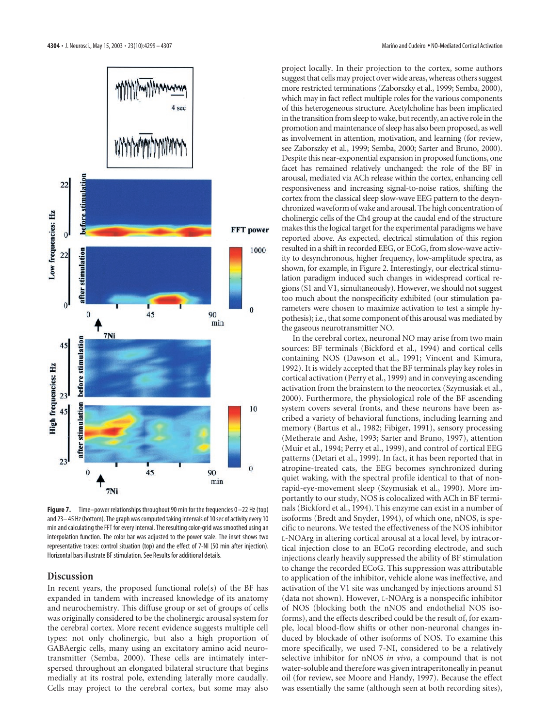

**Figure 7.** Time-power relationships throughout 90 min for the frequencies 0-22 Hz (top) and 23– 45 Hz (bottom). The graph was computed taking intervals of 10 sec of activity every 10 min and calculating the FFT for every interval. The resulting color-grid was smoothed using an interpolation function. The color bar was adjusted to the power scale. The inset shows two representative traces: control situation (top) and the effect of 7-NI (50 min after injection). Horizontal bars illustrate BF stimulation. See Results for additional details.

### **Discussion**

In recent years, the proposed functional role(s) of the BF has expanded in tandem with increased knowledge of its anatomy and neurochemistry. This diffuse group or set of groups of cells was originally considered to be the cholinergic arousal system for the cerebral cortex. More recent evidence suggests multiple cell types: not only cholinergic, but also a high proportion of GABAergic cells, many using an excitatory amino acid neurotransmitter (Semba, 2000). These cells are intimately interspersed throughout an elongated bilateral structure that begins medially at its rostral pole, extending laterally more caudally. Cells may project to the cerebral cortex, but some may also

project locally. In their projection to the cortex, some authors suggest that cells may project over wide areas, whereas others suggest more restricted terminations (Zaborszky et al., 1999; Semba, 2000), which may in fact reflect multiple roles for the various components of this heterogeneous structure. Acetylcholine has been implicated in the transition from sleep to wake, but recently, an active role in the promotion and maintenance of sleep has also been proposed, as well as involvement in attention, motivation, and learning (for review, see Zaborszky et al., 1999; Semba, 2000; Sarter and Bruno, 2000). Despite this near-exponential expansion in proposed functions, one facet has remained relatively unchanged: the role of the BF in arousal, mediated via ACh release within the cortex, enhancing cell responsiveness and increasing signal-to-noise ratios, shifting the cortex from the classical sleep slow-wave EEG pattern to the desynchronized waveform of wake and arousal. The high concentration of cholinergic cells of the Ch4 group at the caudal end of the structure makes this the logical target for the experimental paradigms we have reported above. As expected, electrical stimulation of this region resulted in a shift in recorded EEG, or ECoG, from slow-wave activity to desynchronous, higher frequency, low-amplitude spectra, as shown, for example, in Figure 2. Interestingly, our electrical stimulation paradigm induced such changes in widespread cortical regions (S1 and V1, simultaneously). However, we should not suggest too much about the nonspecificity exhibited (our stimulation parameters were chosen to maximize activation to test a simple hypothesis); i.e., that some component of this arousal was mediated by the gaseous neurotransmitter NO.

In the cerebral cortex, neuronal NO may arise from two main sources: BF terminals (Bickford et al., 1994) and cortical cells containing NOS (Dawson et al., 1991; Vincent and Kimura, 1992). It is widely accepted that the BF terminals play key roles in cortical activation (Perry et al., 1999) and in conveying ascending activation from the brainstem to the neocortex (Szymusiak et al., 2000). Furthermore, the physiological role of the BF ascending system covers several fronts, and these neurons have been ascribed a variety of behavioral functions, including learning and memory (Bartus et al., 1982; Fibiger, 1991), sensory processing (Metherate and Ashe, 1993; Sarter and Bruno, 1997), attention (Muir et al., 1994; Perry et al., 1999), and control of cortical EEG patterns (Detari et al., 1999). In fact, it has been reported that in atropine-treated cats, the EEG becomes synchronized during quiet waking, with the spectral profile identical to that of nonrapid-eye-movement sleep (Szymusiak et al., 1990). More importantly to our study, NOS is colocalized with ACh in BF terminals (Bickford et al., 1994). This enzyme can exist in a number of isoforms (Bredt and Snyder, 1994), of which one, nNOS, is specific to neurons. We tested the effectiveness of the NOS inhibitor L-NOArg in altering cortical arousal at a local level, by intracortical injection close to an ECoG recording electrode, and such injections clearly heavily suppressed the ability of BF stimulation to change the recorded ECoG. This suppression was attributable to application of the inhibitor, vehicle alone was ineffective, and activation of the V1 site was unchanged by injections around S1 (data not shown). However, L-NOArg is a nonspecific inhibitor of NOS (blocking both the nNOS and endothelial NOS isoforms), and the effects described could be the result of, for example, local blood-flow shifts or other non-neuronal changes induced by blockade of other isoforms of NOS. To examine this more specifically, we used 7-NI, considered to be a relatively selective inhibitor for nNOS *in vivo*, a compound that is not water-soluble and therefore was given intraperitoneally in peanut oil (for review, see Moore and Handy, 1997). Because the effect was essentially the same (although seen at both recording sites),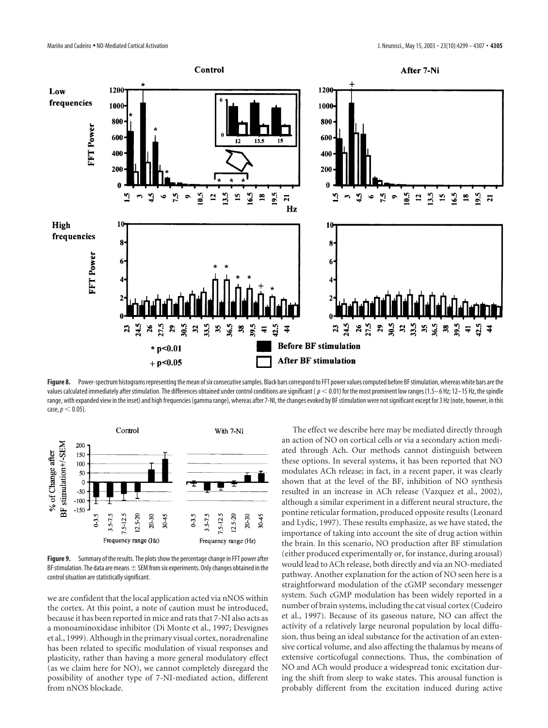

Figure 8. Power-spectrum histograms representing the mean of six consecutive samples. Black bars correspond to FFT power values computed before BF stimulation, whereas white bars are the values calculated immediately after stimulation. The differences obtained under control conditions are significant ( $p<$  0.01) for the most prominent low ranges (1.5– 6 Hz; 12–15 Hz, the spindle range, with expanded view in the inset) and high frequencies (gamma range), whereas after 7-NI, the changes evoked by BF stimulation were not significant except for 3 Hz (note, however, in this  $case, p < 0.05$ ).



**Figure 9.** Summary of the results. The plots show the percentage change in FFT power after BF stimulation. The data are means  $\pm$  SEM from six experiments. Only changes obtained in the control situation are statistically significant.

we are confident that the local application acted via nNOS within the cortex. At this point, a note of caution must be introduced, because it has been reported in mice and rats that 7-NI also acts as a monoaminoxidase inhibitor (Di Monte et al., 1997; Desvignes et al., 1999). Although in the primary visual cortex, noradrenaline has been related to specific modulation of visual responses and plasticity, rather than having a more general modulatory effect (as we claim here for NO), we cannot completely disregard the possibility of another type of 7-NI-mediated action, different from nNOS blockade.

The effect we describe here may be mediated directly through an action of NO on cortical cells or via a secondary action mediated through Ach. Our methods cannot distinguish between these options. In several systems, it has been reported that NO modulates ACh release; in fact, in a recent paper, it was clearly shown that at the level of the BF, inhibition of NO synthesis resulted in an increase in ACh release (Vazquez et al., 2002), although a similar experiment in a different neural structure, the pontine reticular formation, produced opposite results (Leonard and Lydic, 1997). These results emphasize, as we have stated, the importance of taking into account the site of drug action within the brain. In this scenario, NO production after BF stimulation (either produced experimentally or, for instance, during arousal) would lead to ACh release, both directly and via an NO-mediated pathway. Another explanation for the action of NO seen here is a straightforward modulation of the cGMP secondary messenger system. Such cGMP modulation has been widely reported in a number of brain systems, including the cat visual cortex (Cudeiro et al., 1997). Because of its gaseous nature, NO can affect the activity of a relatively large neuronal population by local diffusion, thus being an ideal substance for the activation of an extensive cortical volume, and also affecting the thalamus by means of extensive corticofugal connections. Thus, the combination of NO and ACh would produce a widespread tonic excitation during the shift from sleep to wake states. This arousal function is probably different from the excitation induced during active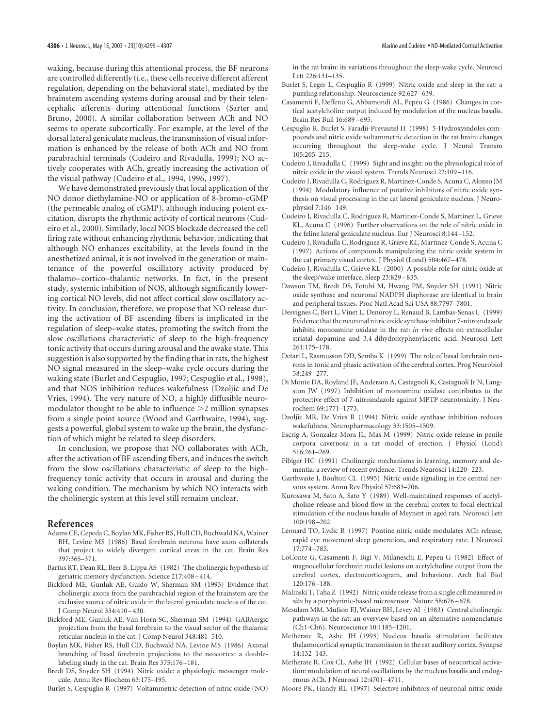waking, because during this attentional process, the BF neurons are controlled differently (i.e., these cells receive different afferent regulation, depending on the behavioral state), mediated by the brainstem ascending systems during arousal and by their telencephalic afferents during attentional functions (Sarter and Bruno, 2000). A similar collaboration between ACh and NO seems to operate subcortically. For example, at the level of the dorsal lateral geniculate nucleus, the transmission of visual information is enhanced by the release of both ACh and NO from parabrachial terminals (Cudeiro and Rivadulla, 1999); NO actively cooperates with ACh, greatly increasing the activation of the visual pathway (Cudeiro et al., 1994, 1996, 1997).

We have demonstrated previously that local application of the NO donor diethylamine-NO or application of 8-bromo-cGMP (the permeable analog of cGMP), although inducing potent excitation, disrupts the rhythmic activity of cortical neurons (Cudeiro et al., 2000). Similarly, local NOS blockade decreased the cell firing rate without enhancing rhythmic behavior, indicating that although NO enhances excitability, at the levels found in the anesthetized animal, it is not involved in the generation or maintenance of the powerful oscillatory activity produced by thalamo–cortico–thalamic networks. In fact, in the present study, systemic inhibition of NOS, although significantly lowering cortical NO levels, did not affect cortical slow oscillatory activity. In conclusion, therefore, we propose that NO release during the activation of BF ascending fibers is implicated in the regulation of sleep–wake states, promoting the switch from the slow oscillations characteristic of sleep to the high-frequency tonic activity that occurs during arousal and the awake state. This suggestion is also supported by the finding that in rats, the highest NO signal measured in the sleep–wake cycle occurs during the waking state (Burlet and Cespuglio, 1997; Cespuglio et al., 1998), and that NOS inhibition reduces wakefulness (Dzoljic and De Vries, 1994). The very nature of NO, a highly diffusible neuromodulator thought to be able to influence  $\geq 2$  million synapses from a single point source (Wood and Garthwaite, 1994), suggests a powerful, global system to wake up the brain, the dysfunction of which might be related to sleep disorders.

In conclusion, we propose that NO collaborates with ACh, after the activation of BF ascending fibers, and induces the switch from the slow oscillations characteristic of sleep to the highfrequency tonic activity that occurs in arousal and during the waking condition. The mechanism by which NO interacts with the cholinergic system at this level still remains unclear.

#### **References**

- Adams CE, Cepeda C, Boylan MK, Fisher RS, Hull CD, Buchwald NA, Wainer BH, Levine MS (1986) Basal forebrain neurons have axon collaterals that project to widely divergent cortical areas in the cat. Brain Res 397:365–371.
- Bartus RT, Dean RL, Beer B, Lippa AS (1982) The cholinergic hypothesis of geriatric memory dysfunction. Science 217:408–414.
- Bickford ME, Gunluk AE, Guido W, Sherman SM (1993) Evidence that cholinergic axons from the parabrachial region of the brainstem are the exclusive source of nitric oxide in the lateral geniculate nucleus of the cat. J Comp Neurol 334:410–430.
- Bickford ME, Gunluk AE, Van Horn SC, Sherman SM (1994) GABAergic projection from the basal forebrain to the visual sector of the thalamic reticular nucleus in the cat. J Comp Neurol 348:481–510.
- Boylan MK, Fisher RS, Hull CD, Buchwald NA, Levine MS (1986) Axonal branching of basal forebrain projections to the neocortex: a doublelabeling study in the cat. Brain Res 375:176–181.
- Bredt DS, Snyder SH (1994) Nitric oxide: a physiologic messenger molecule. Annu Rev Biochem 63:175–195.
- Burlet S, Cespuglio R (1997) Voltammetric detection of nitric oxide (NO)

in the rat brain: its variations throughout the sleep-wake cycle. Neurosci Lett 226:131–135.

- Burlet S, Leger L, Cespuglio R (1999) Nitric oxide and sleep in the rat: a puzzling relationship. Neuroscience 92:627–639.
- Casamenti F, Deffenu G, Abbamondi AL, Pepeu G (1986) Changes in cortical acetylcholine output induced by modulation of the nucleus basalis. Brain Res Bull 16:689–695.
- Cespuglio R, Burlet S, Faradji-Prevautel H (1998) 5-Hydroxyindoles compounds and nitric oxide voltammetric detection in the rat brain: changes occurring throughout the sleep-wake cycle. J Neural Transm 105:205–215.
- Cudeiro J, Rivadulla C (1999) Sight and insight: on the physiological role of nitric oxide in the visual system. Trends Neurosci 22:109–116.
- Cudeiro J, Rivadulla C, Rodriguez R, Martinez-Conde S, Acuna C, Alonso JM (1994) Modulatory influence of putative inhibitors of nitric oxide synthesis on visual processing in the cat lateral geniculate nucleus. J Neurophysiol 7:146–149.
- Cudeiro J, Rivadulla C, Rodriguez R, Martinez-Conde S, Martinez L, Grieve KL, Acuna C (1996) Further observations on the role of nitric oxide in the feline lateral geniculate nucleus. Eur J Neurosci 8:144–152.
- Cudeiro J, Rivadulla C, Rodriguez R, Grieve KL, Martinez-Conde S, Acuna C (1997) Actions of compounds manipulating the nitric oxide system in the cat primary visual cortex. J Physiol (Lond) 504:467–478.
- Cudeiro J, Rivadulla C, Grieve KL (2000) A possible role for nitric oxide at the sleep/wake interface. Sleep 23:829–835.
- Dawson TM, Bredt DS, Fotuhi M, Hwang PM, Snyder SH (1991) Nitric oxide synthase and neuronal NADPH diaphorase are identical in brain and peripheral tissues. Proc Natl Acad Sci USA 88:7797–7801.
- Desvignes C, Bert L, Vinet L, Denoroy L, Renaud B, Lambas-Senas L (1999) Evidence that the neuronal nitric oxide synthase inhibitor 7-nitroindazole inhibits monoamine oxidase in the rat: *in vivo* effects on extracellular striatal dopamine and 3,4-dihydroxyphenylacetic acid. Neurosci Lett 261:175–178.
- Detari L, Rasmusson DD, Semba K (1999) The role of basal forebrain neurons in tonic and phasic activation of the cerebral cortex. Prog Neurobiol 58:249–277.
- Di Monte DA, Royland JE, Anderson A, Castagnoli K, Castagnoli Jr N, Langston JW (1997) Inhibition of monoamine oxidase contributes to the protective effect of 7-nitroindazole against MPTP neurotoxicity. J Neurochem 69:1771–1773.
- Dzoljic MR, De Vries R (1994) Nitric oxide synthase inhibition reduces wakefulness. Neuropharmacology 33:1505–1509.
- Escrig A, Gonzalez-Mora JL, Mas M (1999) Nitric oxide release in penile corpora cavernosa in a rat model of erection. J Physiol (Lond) 516:261–269.
- Fibiger HC (1991) Cholinergic mechanisms in learning, memory and dementia: a review of recent evidence. Trends Neurosci 14:220–223.
- Garthwaite J, Boulton CL (1995) Nitric oxide signaling in the central nervous system. Annu Rev Physiol 57:683–706.
- Kurosawa M, Sato A, Sato Y (1989) Well-maintained responses of acetylcholine release and blood flow in the cerebral cortex to focal electrical stimulation of the nucleus basalis of Meynert in aged rats. Neurosci Lett 100:198–202.
- Leonard TO, Lydic R (1997) Pontine nitric oxide modulates ACh release, rapid eye movement sleep generation, and respiratory rate. J Neurosci 17:774–785.
- LoConte G, Casamenti F, Bigi V, Milaneschi E, Pepeu G (1982) Effect of magnocellular forebrain nuclei lesions on acetylcholine output from the cerebral cortex, electrocorticogram, and behaviour. Arch Ital Biol 120:176–188.
- Malinski T, Taha Z (1992) Nitric oxide release from a single cell measured *in situ* by a porphyrinic-based microsensor. Nature 58:676–678.
- Mesulam MM, Mufson EJ, Wainer BH, Levey AI (1983) Central cholinergic pathways in the rat: an overview based on an alternative nomenclature (Ch1-Ch6). Neuroscience 10:1185–1201.
- Metherate R, Ashe JH (1993) Nucleus basalis stimulation facilitates thalamocortical synaptic transmission in the rat auditory cortex. Synapse 14:132–143.
- Metherate R, Cox CL, Ashe JH (1992) Cellular bases of neocortical activation: modulation of neural oscillations by the nucleus basalis and endogenous ACh. J Neurosci 12:4701–4711.
- Moore PK, Handy RL (1997) Selective inhibitors of neuronal nitric oxide